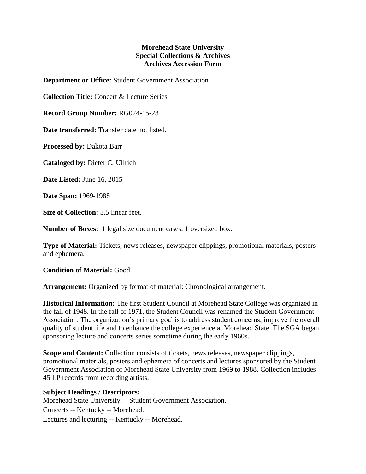## **Morehead State University Special Collections & Archives Archives Accession Form**

**Department or Office:** Student Government Association

**Collection Title:** Concert & Lecture Series

**Record Group Number:** RG024-15-23

**Date transferred:** Transfer date not listed.

**Processed by:** Dakota Barr

**Cataloged by:** Dieter C. Ullrich

**Date Listed:** June 16, 2015

**Date Span:** 1969-1988

**Size of Collection:** 3.5 linear feet.

**Number of Boxes:** 1 legal size document cases; 1 oversized box.

**Type of Material:** Tickets, news releases, newspaper clippings, promotional materials, posters and ephemera.

**Condition of Material:** Good.

**Arrangement:** Organized by format of material; Chronological arrangement.

**Historical Information:** The first Student Council at Morehead State College was organized in the fall of 1948. In the fall of 1971, the Student Council was renamed the Student Government Association. The organization's primary goal is to address student concerns, improve the overall quality of student life and to enhance the college experience at Morehead State. The SGA began sponsoring lecture and concerts series sometime during the early 1960s.

**Scope and Content:** Collection consists of tickets, news releases, newspaper clippings, promotional materials, posters and ephemera of concerts and lectures sponsored by the Student Government Association of Morehead State University from 1969 to 1988. Collection includes 45 LP records from recording artists.

## **Subject Headings / Descriptors:**

Morehead State University. – Student Government Association. Concerts -- Kentucky -- Morehead. Lectures and lecturing -- Kentucky -- Morehead.